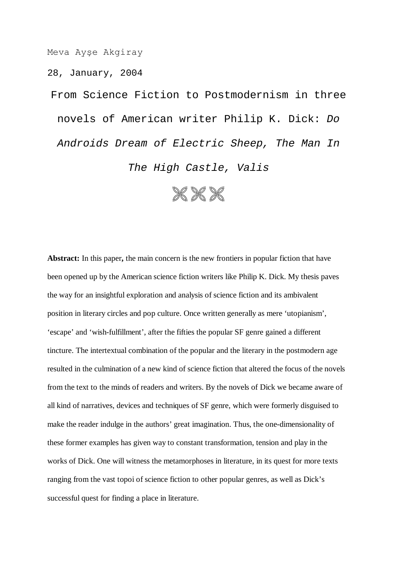Meva Ayşe Akgiray

28, January, 2004

From Science Fiction to Postmodernism in three novels of American writer Philip K. Dick: *Do Androids Dream of Electric Sheep, The Man In The High Castle, Valis*



**Abstract:** In this paper**,** the main concern is the new frontiers in popular fiction that have been opened up by the American science fiction writers like Philip K. Dick. My thesis paves the way for an insightful exploration and analysis of science fiction and its ambivalent position in literary circles and pop culture. Once written generally as mere 'utopianism', 'escape' and 'wish-fulfillment', after the fifties the popular SF genre gained a different tincture. The intertextual combination of the popular and the literary in the postmodern age resulted in the culmination of a new kind of science fiction that altered the focus of the novels from the text to the minds of readers and writers. By the novels of Dick we became aware of all kind of narratives, devices and techniques of SF genre, which were formerly disguised to make the reader indulge in the authors' great imagination. Thus, the one-dimensionality of these former examples has given way to constant transformation, tension and play in the works of Dick. One will witness the metamorphoses in literature, in its quest for more texts ranging from the vast topoi of science fiction to other popular genres, as well as Dick's successful quest for finding a place in literature.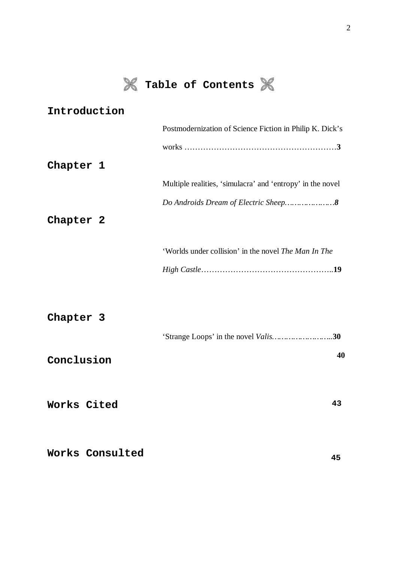

# **Table of Contents**

| Introduction |                                                             |
|--------------|-------------------------------------------------------------|
|              | Postmodernization of Science Fiction in Philip K. Dick's    |
|              |                                                             |
| Chapter 1    |                                                             |
|              | Multiple realities, 'simulacra' and 'entropy' in the novel  |
|              |                                                             |
| Chapter 2    |                                                             |
|              | 'Worlds under collision' in the novel <i>The Man In The</i> |
|              |                                                             |
|              |                                                             |
| Chapter 3    |                                                             |
|              |                                                             |
| Conclusion   | 40                                                          |

**Works Consulted**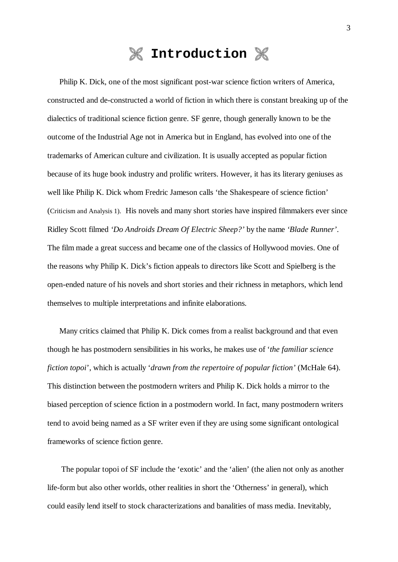### **Introduction**

Philip K. Dick, one of the most significant post-war science fiction writers of America, constructed and de-constructed a world of fiction in which there is constant breaking up of the dialectics of traditional science fiction genre. SF genre, though generally known to be the outcome of the Industrial Age not in America but in England, has evolved into one of the trademarks of American culture and civilization. It is usually accepted as popular fiction because of its huge book industry and prolific writers. However, it has its literary geniuses as well like Philip K. Dick whom Fredric Jameson calls 'the Shakespeare of science fiction' (Criticism and Analysis 1). His novels and many short stories have inspired filmmakers ever since Ridley Scott filmed *'Do Androids Dream Of Electric Sheep?'* by the name *'Blade Runner'*. The film made a great success and became one of the classics of Hollywood movies. One of the reasons why Philip K. Dick's fiction appeals to directors like Scott and Spielberg is the open-ended nature of his novels and short stories and their richness in metaphors, which lend themselves to multiple interpretations and infinite elaborations.

Many critics claimed that Philip K. Dick comes from a realist background and that even though he has postmodern sensibilities in his works, he makes use of '*the familiar science fiction topoi*', which is actually '*drawn from the repertoire of popular fiction'* (McHale 64). This distinction between the postmodern writers and Philip K. Dick holds a mirror to the biased perception of science fiction in a postmodern world. In fact, many postmodern writers tend to avoid being named as a SF writer even if they are using some significant ontological frameworks of science fiction genre.

 The popular topoi of SF include the 'exotic' and the 'alien' (the alien not only as another life-form but also other worlds, other realities in short the 'Otherness' in general), which could easily lend itself to stock characterizations and banalities of mass media. Inevitably,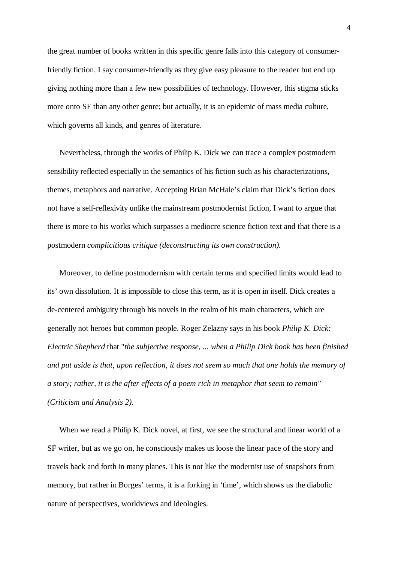the great number of books written in this specific genre falls into this category of consumerfriendly fiction. I say consumer-friendly as they give easy pleasure to the reader but end up giving nothing more than a few new possibilities of technology. However, this stigma sticks more onto SF than any other genre; but actually, it is an epidemic of mass media culture, which governs all kinds, and genres of literature.

Nevertheless, through the works of Philip K. Dick we can trace a complex postmodern sensibility reflected especially in the semantics of his fiction such as his characterizations, themes, metaphors and narrative. Accepting Brian McHale's claim that Dick's fiction does not have a self-reflexivity unlike the mainstream postmodernist fiction, I want to argue that there is more to his works which surpasses a mediocre science fiction text and that there is a postmodern *complicitious critique (deconstructing its own construction).*

Moreover, to define postmodernism with certain terms and specified limits would lead to its' own dissolution. It is impossible to close this term, as it is open in itself. Dick creates a de-centered ambiguity through his novels in the realm of his main characters, which are generally not heroes but common people. Roger Zelazny says in his book *Philip K. Dick: Electric Shepherd* that "*the subjective response, ... when a Philip Dick book has been finished and put aside is that, upon reflection, it does not seem so much that one holds the memory of a story; rather, it is the after effects of a poem rich in metaphor that seem to remain" (Criticism and Analysis 2).*

When we read a Philip K. Dick novel, at first, we see the structural and linear world of a SF writer, but as we go on, he consciously makes us loose the linear pace of the story and travels back and forth in many planes. This is not like the modernist use of snapshots from memory, but rather in Borges' terms, it is a forking in 'time', which shows us the diabolic nature of perspectives, worldviews and ideologies.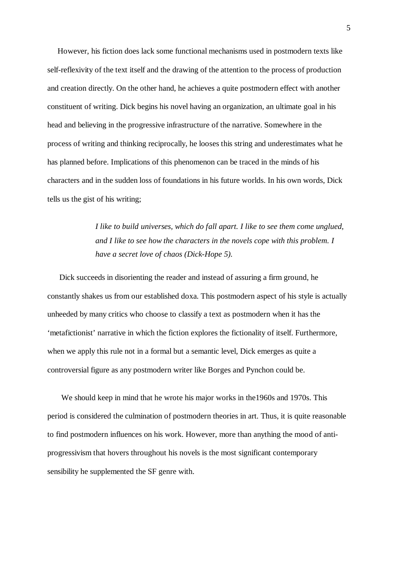However, his fiction does lack some functional mechanisms used in postmodern texts like self-reflexivity of the text itself and the drawing of the attention to the process of production and creation directly. On the other hand, he achieves a quite postmodern effect with another constituent of writing. Dick begins his novel having an organization, an ultimate goal in his head and believing in the progressive infrastructure of the narrative. Somewhere in the process of writing and thinking reciprocally, he looses this string and underestimates what he has planned before. Implications of this phenomenon can be traced in the minds of his characters and in the sudden loss of foundations in his future worlds. In his own words, Dick tells us the gist of his writing;

> *I like to build universes, which do fall apart. I like to see them come unglued, and I like to see how the characters in the novels cope with this problem. I have a secret love of chaos (Dick-Hope 5).*

Dick succeeds in disorienting the reader and instead of assuring a firm ground, he constantly shakes us from our established doxa. This postmodern aspect of his style is actually unheeded by many critics who choose to classify a text as postmodern when it has the 'metafictionist' narrative in which the fiction explores the fictionality of itself. Furthermore, when we apply this rule not in a formal but a semantic level, Dick emerges as quite a controversial figure as any postmodern writer like Borges and Pynchon could be.

We should keep in mind that he wrote his major works in the 1960s and 1970s. This period is considered the culmination of postmodern theories in art. Thus, it is quite reasonable to find postmodern influences on his work. However, more than anything the mood of antiprogressivism that hovers throughout his novels is the most significant contemporary sensibility he supplemented the SF genre with.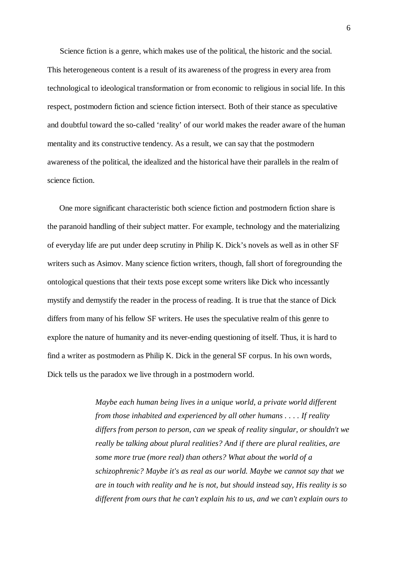Science fiction is a genre, which makes use of the political, the historic and the social. This heterogeneous content is a result of its awareness of the progress in every area from technological to ideological transformation or from economic to religious in social life. In this respect, postmodern fiction and science fiction intersect. Both of their stance as speculative and doubtful toward the so-called 'reality' of our world makes the reader aware of the human mentality and its constructive tendency. As a result, we can say that the postmodern awareness of the political, the idealized and the historical have their parallels in the realm of science fiction.

One more significant characteristic both science fiction and postmodern fiction share is the paranoid handling of their subject matter. For example, technology and the materializing of everyday life are put under deep scrutiny in Philip K. Dick's novels as well as in other SF writers such as Asimov. Many science fiction writers, though, fall short of foregrounding the ontological questions that their texts pose except some writers like Dick who incessantly mystify and demystify the reader in the process of reading. It is true that the stance of Dick differs from many of his fellow SF writers. He uses the speculative realm of this genre to explore the nature of humanity and its never-ending questioning of itself. Thus, it is hard to find a writer as postmodern as Philip K. Dick in the general SF corpus. In his own words, Dick tells us the paradox we live through in a postmodern world.

> *Maybe each human being lives in a unique world, a private world different from those inhabited and experienced by all other humans . . . . If reality differs from person to person, can we speak of reality singular, or shouldn't we really be talking about plural realities? And if there are plural realities, are some more true (more real) than others? What about the world of a schizophrenic? Maybe it's as real as our world. Maybe we cannot say that we are in touch with reality and he is not, but should instead say, His reality is so different from ours that he can't explain his to us, and we can't explain ours to*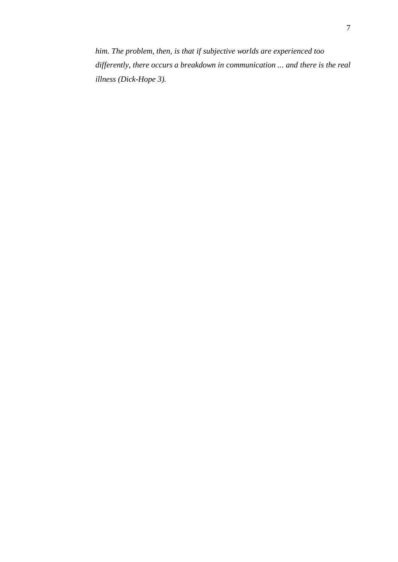*him. The problem, then, is that if subjective worlds are experienced too differently, there occurs a breakdown in communication ... and there is the real illness (Dick-Hope 3).*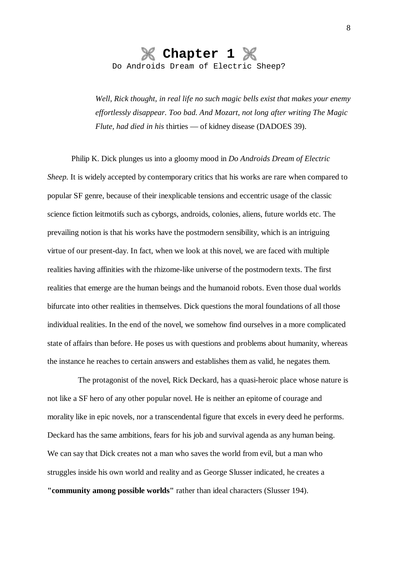

*Well, Rick thought, in real life no such magic bells exist that makes your enemy effortlessly disappear. Too bad. And Mozart, not long after writing The Magic Flute, had died in his* thirties — of kidney disease (DADOES 39).

Philip K. Dick plunges us into a gloomy mood in *Do Androids Dream of Electric Sheep.* It is widely accepted by contemporary critics that his works are rare when compared to popular SF genre, because of their inexplicable tensions and eccentric usage of the classic science fiction leitmotifs such as cyborgs, androids, colonies, aliens, future worlds etc. The prevailing notion is that his works have the postmodern sensibility, which is an intriguing virtue of our present-day. In fact, when we look at this novel, we are faced with multiple realities having affinities with the rhizome-like universe of the postmodern texts. The first realities that emerge are the human beings and the humanoid robots. Even those dual worlds bifurcate into other realities in themselves. Dick questions the moral foundations of all those individual realities. In the end of the novel, we somehow find ourselves in a more complicated state of affairs than before. He poses us with questions and problems about humanity, whereas the instance he reaches to certain answers and establishes them as valid, he negates them.

The protagonist of the novel, Rick Deckard, has a quasi-heroic place whose nature is not like a SF hero of any other popular novel. He is neither an epitome of courage and morality like in epic novels, nor a transcendental figure that excels in every deed he performs. Deckard has the same ambitions, fears for his job and survival agenda as any human being. We can say that Dick creates not a man who saves the world from evil, but a man who struggles inside his own world and reality and as George Slusser indicated, he creates a **"community among possible worlds"** rather than ideal characters (Slusser 194).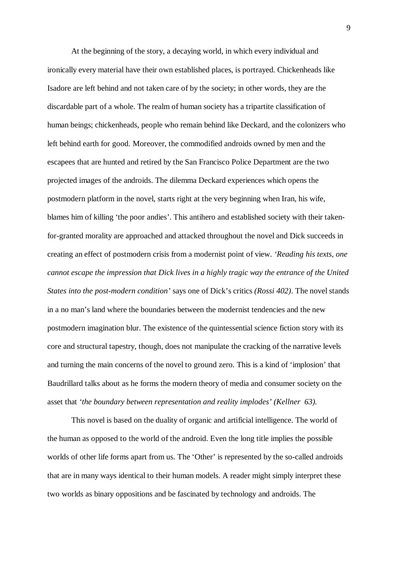At the beginning of the story, a decaying world, in which every individual and ironically every material have their own established places, is portrayed. Chickenheads like Isadore are left behind and not taken care of by the society; in other words, they are the discardable part of a whole. The realm of human society has a tripartite classification of human beings; chickenheads, people who remain behind like Deckard, and the colonizers who left behind earth for good. Moreover, the commodified androids owned by men and the escapees that are hunted and retired by the San Francisco Police Department are the two projected images of the androids. The dilemma Deckard experiences which opens the postmodern platform in the novel, starts right at the very beginning when Iran, his wife, blames him of killing 'the poor andies'. This antihero and established society with their takenfor-granted morality are approached and attacked throughout the novel and Dick succeeds in creating an effect of postmodern crisis from a modernist point of view. *'Reading his texts, one cannot escape the impression that Dick lives in a highly tragic way the entrance of the United States into the post-modern condition'* says one of Dick's critics *(Rossi 402)*. The novel stands in a no man's land where the boundaries between the modernist tendencies and the new postmodern imagination blur. The existence of the quintessential science fiction story with its core and structural tapestry, though, does not manipulate the cracking of the narrative levels and turning the main concerns of the novel to ground zero. This is a kind of 'implosion' that Baudrillard talks about as he forms the modern theory of media and consumer society on the asset that *'the boundary between representation and reality implodes' (Kellner 63).*

This novel is based on the duality of organic and artificial intelligence. The world of the human as opposed to the world of the android. Even the long title implies the possible worlds of other life forms apart from us. The 'Other' is represented by the so-called androids that are in many ways identical to their human models. A reader might simply interpret these two worlds as binary oppositions and be fascinated by technology and androids. The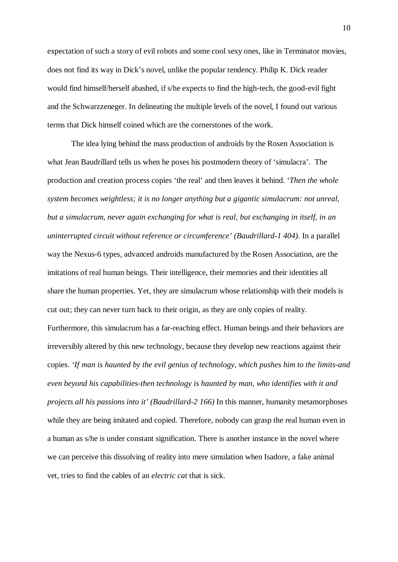expectation of such a story of evil robots and some cool sexy ones, like in Terminator movies, does not find its way in Dick's novel, unlike the popular tendency. Philip K. Dick reader would find himself/herself abashed, if s/he expects to find the high-tech, the good-evil fight and the Schwarzzeneger. In delineating the multiple levels of the novel, I found out various terms that Dick himself coined which are the cornerstones of the work.

The idea lying behind the mass production of androids by the Rosen Association is what Jean Baudrillard tells us when he poses his postmodern theory of 'simulacra'. The production and creation process copies 'the real' and then leaves it behind. '*Then the whole system becomes weightless; it is no longer anything but a gigantic simulacrum: not unreal, but a simulacrum, never again exchanging for what is real, but exchanging in itself, in an uninterrupted circuit without reference or circumference' (Baudrillard-1 404).* In a parallel way the Nexus-6 types, advanced androids manufactured by the Rosen Association, are the imitations of real human beings. Their intelligence, their memories and their identities all share the human properties. Yet, they are simulacrum whose relationship with their models is cut out; they can never turn back to their origin, as they are only copies of reality. Furthermore, this simulacrum has a far-reaching effect. Human beings and their behaviors are irreversibly altered by this new technology, because they develop new reactions against their copies. *'If man is haunted by the evil genius of technology, which pushes him to the limits-and even beyond his capabilities-then technology is haunted by man, who identifies with it and projects all his passions into it' (Baudrillard-2 166)* In this manner, humanity metamorphoses while they are being imitated and copied. Therefore, nobody can grasp the real human even in a human as s/he is under constant signification. There is another instance in the novel where we can perceive this dissolving of reality into mere simulation when Isadore, a fake animal vet, tries to find the cables of an *electric cat* that is sick.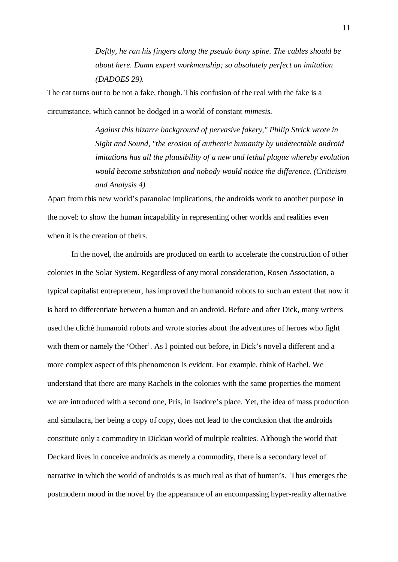*Deftly, he ran his fingers along the pseudo bony spine. The cables should be about here. Damn expert workmanship; so absolutely perfect an imitation (DADOES 29).*

The cat turns out to be not a fake, though. This confusion of the real with the fake is a circumstance, which cannot be dodged in a world of constant *mimesis*.

> *Against this bizarre background of pervasive fakery," Philip Strick wrote in Sight and Sound, "the erosion of authentic humanity by undetectable android imitations has all the plausibility of a new and lethal plague whereby evolution would become substitution and nobody would notice the difference. (Criticism and Analysis 4)*

Apart from this new world's paranoiac implications, the androids work to another purpose in the novel: to show the human incapability in representing other worlds and realities even when it is the creation of theirs.

In the novel, the androids are produced on earth to accelerate the construction of other colonies in the Solar System. Regardless of any moral consideration, Rosen Association, a typical capitalist entrepreneur, has improved the humanoid robots to such an extent that now it is hard to differentiate between a human and an android. Before and after Dick, many writers used the cliché humanoid robots and wrote stories about the adventures of heroes who fight with them or namely the 'Other'. As I pointed out before, in Dick's novel a different and a more complex aspect of this phenomenon is evident. For example, think of Rachel. We understand that there are many Rachels in the colonies with the same properties the moment we are introduced with a second one, Pris, in Isadore's place. Yet, the idea of mass production and simulacra, her being a copy of copy, does not lead to the conclusion that the androids constitute only a commodity in Dickian world of multiple realities. Although the world that Deckard lives in conceive androids as merely a commodity, there is a secondary level of narrative in which the world of androids is as much real as that of human's. Thus emerges the postmodern mood in the novel by the appearance of an encompassing hyper-reality alternative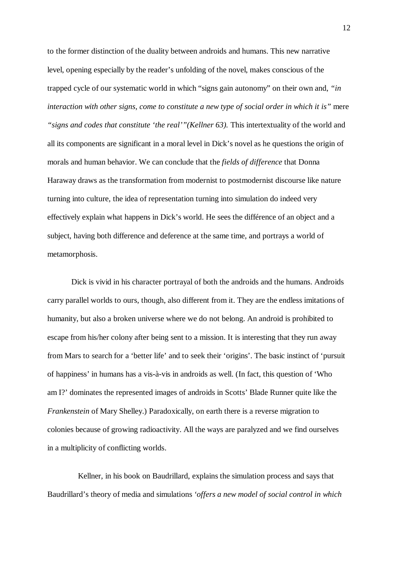to the former distinction of the duality between androids and humans. This new narrative level, opening especially by the reader's unfolding of the novel, makes conscious of the trapped cycle of our systematic world in which "signs gain autonomy" on their own and, *"in interaction with other signs, come to constitute a new type of social order in which it is"* mere "signs and codes that constitute 'the real'"(Kellner 63). This intertextuality of the world and all its components are significant in a moral level in Dick's novel as he questions the origin of morals and human behavior. We can conclude that the *fields of difference* that Donna Haraway draws as the transformation from modernist to postmodernist discourse like nature turning into culture, the idea of representation turning into simulation do indeed very effectively explain what happens in Dick's world. He sees the différence of an object and a subject, having both difference and deference at the same time, and portrays a world of metamorphosis.

Dick is vivid in his character portrayal of both the androids and the humans. Androids carry parallel worlds to ours, though, also different from it. They are the endless imitations of humanity, but also a broken universe where we do not belong. An android is prohibited to escape from his/her colony after being sent to a mission. It is interesting that they run away from Mars to search for a 'better life' and to seek their 'origins'. The basic instinct of 'pursuit of happiness' in humans has a vis-à-vis in androids as well. (In fact, this question of 'Who am I?' dominates the represented images of androids in Scotts' Blade Runner quite like the *Frankenstein* of Mary Shelley.) Paradoxically, on earth there is a reverse migration to colonies because of growing radioactivity. All the ways are paralyzed and we find ourselves in a multiplicity of conflicting worlds.

Kellner, in his book on Baudrillard, explains the simulation process and says that Baudrillard's theory of media and simulations *'offers a new model of social control in which*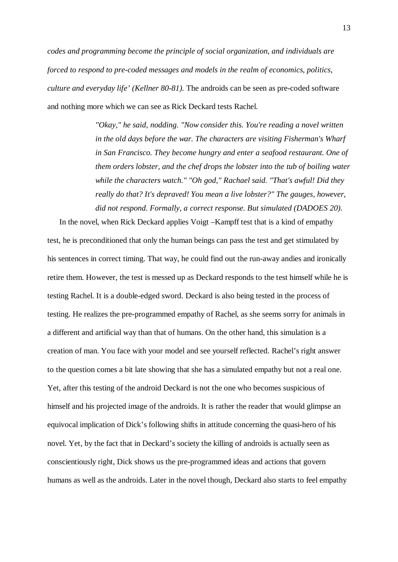*codes and programming become the principle of social organization, and individuals are forced to respond to pre-coded messages and models in the realm of economics, politics, culture and everyday life' (Kellner 80-81).* The androids can be seen as pre-coded software and nothing more which we can see as Rick Deckard tests Rachel.

> *"Okay," he said, nodding. "Now consider this. You're reading a novel written in the old days before the war. The characters are visiting Fisherman's Wharf in San Francisco. They become hungry and enter a seafood restaurant. One of them orders lobster, and the chef drops the lobster into the tub of boiling water while the characters watch." "Oh god," Rachael said. "That's awful! Did they really do that? It's depraved! You mean a live lobster?" The gauges, however, did not respond. Formally, a correct response. But simulated (DADOES 20).*

In the novel, when Rick Deckard applies Voigt –Kampff test that is a kind of empathy test, he is preconditioned that only the human beings can pass the test and get stimulated by his sentences in correct timing. That way, he could find out the run-away andies and ironically retire them. However, the test is messed up as Deckard responds to the test himself while he is testing Rachel. It is a double-edged sword. Deckard is also being tested in the process of testing. He realizes the pre-programmed empathy of Rachel, as she seems sorry for animals in a different and artificial way than that of humans. On the other hand, this simulation is a creation of man. You face with your model and see yourself reflected. Rachel's right answer to the question comes a bit late showing that she has a simulated empathy but not a real one. Yet, after this testing of the android Deckard is not the one who becomes suspicious of himself and his projected image of the androids. It is rather the reader that would glimpse an equivocal implication of Dick's following shifts in attitude concerning the quasi-hero of his novel. Yet, by the fact that in Deckard's society the killing of androids is actually seen as conscientiously right, Dick shows us the pre-programmed ideas and actions that govern humans as well as the androids. Later in the novel though, Deckard also starts to feel empathy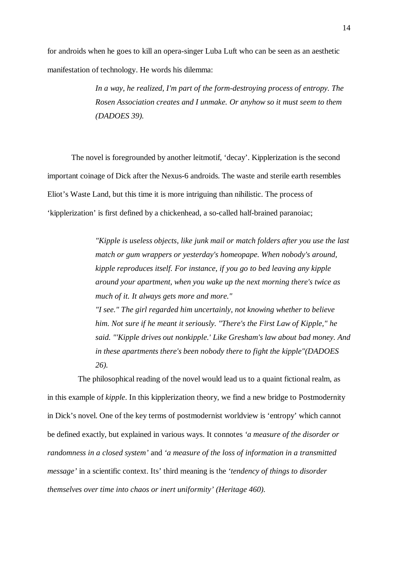for androids when he goes to kill an opera-singer Luba Luft who can be seen as an aesthetic manifestation of technology. He words his dilemma:

> *In a way, he realized, I'm part of the form-destroying process of entropy. The Rosen Association creates and I unmake. Or anyhow so it must seem to them (DADOES 39).*

The novel is foregrounded by another leitmotif, 'decay'. Kipplerization is the second important coinage of Dick after the Nexus-6 androids. The waste and sterile earth resembles Eliot's Waste Land, but this time it is more intriguing than nihilistic. The process of 'kipplerization' is first defined by a chickenhead, a so-called half-brained paranoiac;

> *"Kipple is useless objects, like junk mail or match folders after you use the last match or gum wrappers or yesterday's homeopape. When nobody's around, kipple reproduces itself. For instance, if you go to bed leaving any kipple around your apartment, when you wake up the next morning there's twice as much of it. It always gets more and more." "I see." The girl regarded him uncertainly, not knowing whether to believe him. Not sure if he meant it seriously. "There's the First Law of Kipple," he*

> *said. "'Kipple drives out nonkipple.' Like Gresham's law about bad money. And in these apartments there's been nobody there to fight the kipple"(DADOES 26).*

The philosophical reading of the novel would lead us to a quaint fictional realm, as in this example of *kipple*. In this kipplerization theory, we find a new bridge to Postmodernity in Dick's novel. One of the key terms of postmodernist worldview is 'entropy' which cannot be defined exactly, but explained in various ways. It connotes *'a measure of the disorder or randomness in a closed system'* and *'a measure of the loss of information in a transmitted message'* in a scientific context. Its' third meaning is the *'tendency of things to disorder themselves over time into chaos or inert uniformity' (Heritage 460).*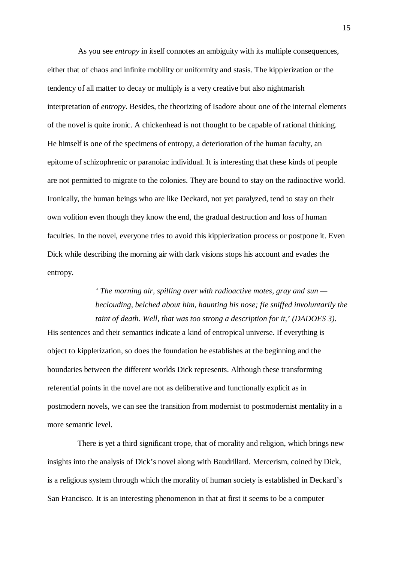As you see *entropy* in itself connotes an ambiguity with its multiple consequences, either that of chaos and infinite mobility or uniformity and stasis. The kipplerization or the tendency of all matter to decay or multiply is a very creative but also nightmarish interpretation of *entropy*. Besides, the theorizing of Isadore about one of the internal elements of the novel is quite ironic. A chickenhead is not thought to be capable of rational thinking. He himself is one of the specimens of entropy, a deterioration of the human faculty, an epitome of schizophrenic or paranoiac individual. It is interesting that these kinds of people are not permitted to migrate to the colonies. They are bound to stay on the radioactive world. Ironically, the human beings who are like Deckard, not yet paralyzed, tend to stay on their own volition even though they know the end, the gradual destruction and loss of human faculties. In the novel, everyone tries to avoid this kipplerization process or postpone it. Even Dick while describing the morning air with dark visions stops his account and evades the entropy.

> *' The morning air, spilling over with radioactive motes, gray and sun beclouding, belched about him, haunting his nose; fie sniffed involuntarily the taint of death. Well, that was too strong a description for it,' (DADOES 3).*

His sentences and their semantics indicate a kind of entropical universe. If everything is object to kipplerization, so does the foundation he establishes at the beginning and the boundaries between the different worlds Dick represents. Although these transforming referential points in the novel are not as deliberative and functionally explicit as in postmodern novels, we can see the transition from modernist to postmodernist mentality in a more semantic level.

There is yet a third significant trope, that of morality and religion, which brings new insights into the analysis of Dick's novel along with Baudrillard. Mercerism, coined by Dick, is a religious system through which the morality of human society is established in Deckard's San Francisco. It is an interesting phenomenon in that at first it seems to be a computer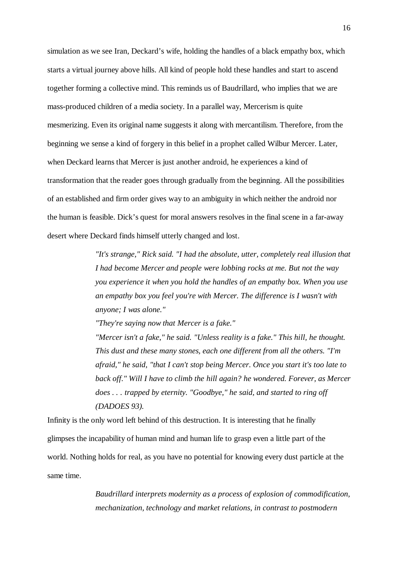simulation as we see Iran, Deckard's wife, holding the handles of a black empathy box, which starts a virtual journey above hills. All kind of people hold these handles and start to ascend together forming a collective mind. This reminds us of Baudrillard, who implies that we are mass-produced children of a media society. In a parallel way, Mercerism is quite mesmerizing. Even its original name suggests it along with mercantilism. Therefore, from the beginning we sense a kind of forgery in this belief in a prophet called Wilbur Mercer. Later, when Deckard learns that Mercer is just another android, he experiences a kind of transformation that the reader goes through gradually from the beginning. All the possibilities of an established and firm order gives way to an ambiguity in which neither the android nor the human is feasible. Dick's quest for moral answers resolves in the final scene in a far-away desert where Deckard finds himself utterly changed and lost.

> *"It's strange," Rick said. "I had the absolute, utter, completely real illusion that I had become Mercer and people were lobbing rocks at me. But not the way you experience it when you hold the handles of an empathy box. When you use an empathy box you feel you're with Mercer. The difference is I wasn't with anyone; I was alone."*

*"They're saying now that Mercer is a fake."*

*"Mercer isn't a fake," he said. "Unless reality is a fake." This hill, he thought. This dust and these many stones, each one different from all the others. "I'm afraid," he said, "that I can't stop being Mercer. Once you start it's too late to back off." Will I have to climb the hill again? he wondered. Forever, as Mercer does . . . trapped by eternity. "Goodbye," he said, and started to ring off (DADOES 93).*

Infinity is the only word left behind of this destruction. It is interesting that he finally glimpses the incapability of human mind and human life to grasp even a little part of the world. Nothing holds for real, as you have no potential for knowing every dust particle at the same time.

> *Baudrillard interprets modernity as a process of explosion of commodification, mechanization, technology and market relations, in contrast to postmodern*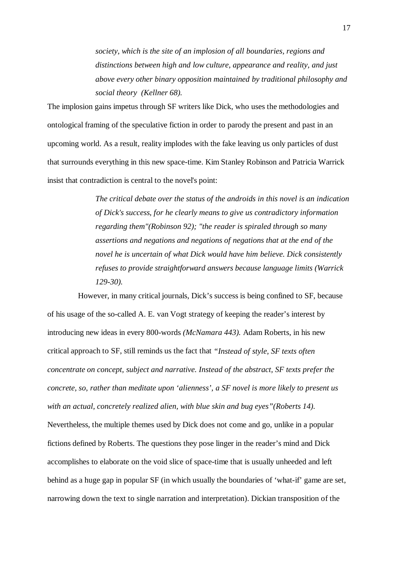*society, which is the site of an implosion of all boundaries, regions and distinctions between high and low culture, appearance and reality, and just above every other binary opposition maintained by traditional philosophy and social theory (Kellner 68).*

The implosion gains impetus through SF writers like Dick, who uses the methodologies and ontological framing of the speculative fiction in order to parody the present and past in an upcoming world. As a result, reality implodes with the fake leaving us only particles of dust that surrounds everything in this new space-time. Kim Stanley Robinson and Patricia Warrick insist that contradiction is central to the novel's point:

> *The critical debate over the status of the androids in this novel is an indication of Dick's success, for he clearly means to give us contradictory information regarding them"(Robinson 92); "the reader is spiraled through so many assertions and negations and negations of negations that at the end of the novel he is uncertain of what Dick would have him believe. Dick consistently refuses to provide straightforward answers because language limits (Warrick 129-30).*

However, in many critical journals, Dick's success is being confined to SF, because of his usage of the so-called A. E. van Vogt strategy of keeping the reader's interest by introducing new ideas in every 800-words *(McNamara 443).* Adam Roberts, in his new critical approach to SF, still reminds us the fact that *"Instead of style, SF texts often concentrate on concept, subject and narrative. Instead of the abstract, SF texts prefer the concrete, so, rather than meditate upon 'alienness', a SF novel is more likely to present us with an actual, concretely realized alien, with blue skin and bug eyes"(Roberts 14).* Nevertheless, the multiple themes used by Dick does not come and go, unlike in a popular fictions defined by Roberts. The questions they pose linger in the reader's mind and Dick accomplishes to elaborate on the void slice of space-time that is usually unheeded and left behind as a huge gap in popular SF (in which usually the boundaries of 'what-if' game are set, narrowing down the text to single narration and interpretation). Dickian transposition of the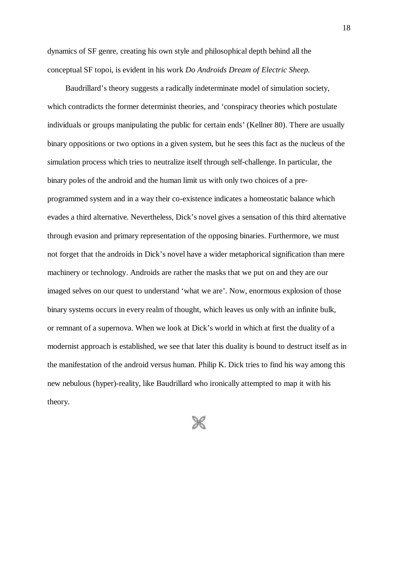dynamics of SF genre, creating his own style and philosophical depth behind all the conceptual SF topoi, is evident in his work *Do Androids Dream of Electric Sheep.* 

Baudrillard's theory suggests a radically indeterminate model of simulation society, which contradicts the former determinist theories, and 'conspiracy theories which postulate individuals or groups manipulating the public for certain ends' (Kellner 80). There are usually binary oppositions or two options in a given system, but he sees this fact as the nucleus of the simulation process which tries to neutralize itself through self-challenge. In particular, the binary poles of the android and the human limit us with only two choices of a preprogrammed system and in a way their co-existence indicates a homeostatic balance which evades a third alternative. Nevertheless, Dick's novel gives a sensation of this third alternative through evasion and primary representation of the opposing binaries. Furthermore, we must not forget that the androids in Dick's novel have a wider metaphorical signification than mere machinery or technology. Androids are rather the masks that we put on and they are our imaged selves on our quest to understand 'what we are'. Now, enormous explosion of those binary systems occurs in every realm of thought, which leaves us only with an infinite bulk, or remnant of a supernova. When we look at Dick's world in which at first the duality of a modernist approach is established, we see that later this duality is bound to destruct itself as in the manifestation of the android versus human. Philip K. Dick tries to find his way among this new nebulous (hyper)-reality, like Baudrillard who ironically attempted to map it with his theory.

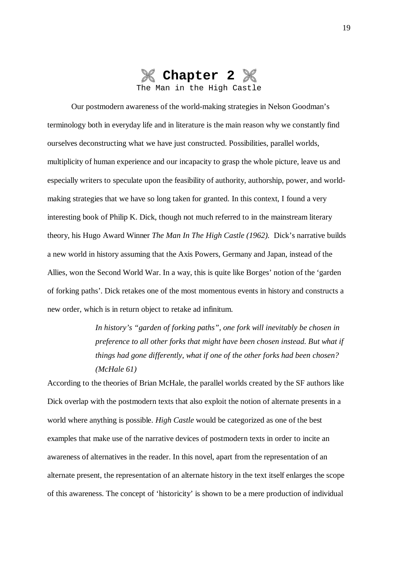

Our postmodern awareness of the world-making strategies in Nelson Goodman's terminology both in everyday life and in literature is the main reason why we constantly find ourselves deconstructing what we have just constructed. Possibilities, parallel worlds, multiplicity of human experience and our incapacity to grasp the whole picture, leave us and especially writers to speculate upon the feasibility of authority, authorship, power, and worldmaking strategies that we have so long taken for granted. In this context, I found a very interesting book of Philip K. Dick, though not much referred to in the mainstream literary theory, his Hugo Award Winner *The Man In The High Castle (1962).* Dick's narrative builds a new world in history assuming that the Axis Powers, Germany and Japan, instead of the Allies, won the Second World War. In a way, this is quite like Borges' notion of the 'garden of forking paths'. Dick retakes one of the most momentous events in history and constructs a new order, which is in return object to retake ad infinitum.

> *In history's "garden of forking paths", one fork will inevitably be chosen in preference to all other forks that might have been chosen instead. But what if things had gone differently, what if one of the other forks had been chosen? (McHale 61)*

According to the theories of Brian McHale, the parallel worlds created by the SF authors like Dick overlap with the postmodern texts that also exploit the notion of alternate presents in a world where anything is possible. *High Castle* would be categorized as one of the best examples that make use of the narrative devices of postmodern texts in order to incite an awareness of alternatives in the reader. In this novel, apart from the representation of an alternate present, the representation of an alternate history in the text itself enlarges the scope of this awareness. The concept of 'historicity' is shown to be a mere production of individual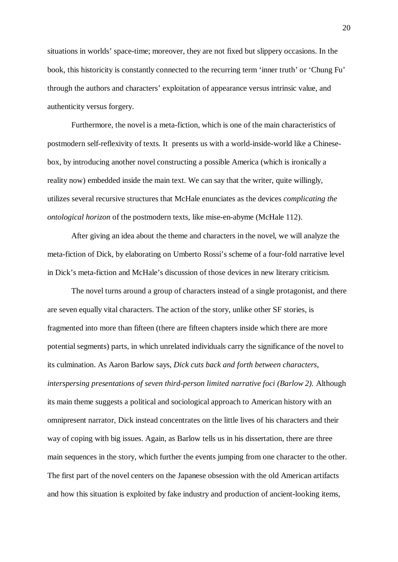situations in worlds' space-time; moreover, they are not fixed but slippery occasions. In the book, this historicity is constantly connected to the recurring term 'inner truth' or 'Chung Fu' through the authors and characters' exploitation of appearance versus intrinsic value, and authenticity versus forgery.

Furthermore, the novel is a meta-fiction, which is one of the main characteristics of postmodern self-reflexivity of texts*.* It presents us with a world-inside-world like a Chinesebox, by introducing another novel constructing a possible America (which is ironically a reality now) embedded inside the main text. We can say that the writer, quite willingly, utilizes several recursive structures that McHale enunciates as the devices *complicating the ontological horizon* of the postmodern texts, like mise-en-abyme (McHale 112).

After giving an idea about the theme and characters in the novel, we will analyze the meta-fiction of Dick, by elaborating on Umberto Rossi's scheme of a four-fold narrative level in Dick's meta-fiction and McHale's discussion of those devices in new literary criticism.

The novel turns around a group of characters instead of a single protagonist, and there are seven equally vital characters. The action of the story, unlike other SF stories, is fragmented into more than fifteen (there are fifteen chapters inside which there are more potential segments) parts, in which unrelated individuals carry the significance of the novel to its culmination. As Aaron Barlow says, *Dick cuts back and forth between characters, interspersing presentations of seven third-person limited narrative foci (Barlow 2).* Although its main theme suggests a political and sociological approach to American history with an omnipresent narrator, Dick instead concentrates on the little lives of his characters and their way of coping with big issues. Again, as Barlow tells us in his dissertation, there are three main sequences in the story, which further the events jumping from one character to the other. The first part of the novel centers on the Japanese obsession with the old American artifacts and how this situation is exploited by fake industry and production of ancient-looking items,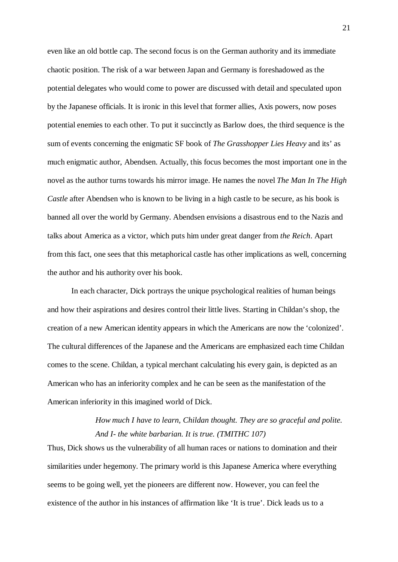even like an old bottle cap. The second focus is on the German authority and its immediate chaotic position. The risk of a war between Japan and Germany is foreshadowed as the potential delegates who would come to power are discussed with detail and speculated upon by the Japanese officials. It is ironic in this level that former allies, Axis powers, now poses potential enemies to each other. To put it succinctly as Barlow does, the third sequence is the sum of events concerning the enigmatic SF book of *The Grasshopper Lies Heavy* and its' as much enigmatic author, Abendsen. Actually, this focus becomes the most important one in the novel as the author turns towards his mirror image. He names the novel *The Man In The High Castle* after Abendsen who is known to be living in a high castle to be secure, as his book is banned all over the world by Germany. Abendsen envisions a disastrous end to the Nazis and talks about America as a victor, which puts him under great danger from *the Reich*. Apart from this fact, one sees that this metaphorical castle has other implications as well, concerning the author and his authority over his book.

In each character, Dick portrays the unique psychological realities of human beings and how their aspirations and desires control their little lives. Starting in Childan's shop, the creation of a new American identity appears in which the Americans are now the 'colonized'. The cultural differences of the Japanese and the Americans are emphasized each time Childan comes to the scene. Childan, a typical merchant calculating his every gain, is depicted as an American who has an inferiority complex and he can be seen as the manifestation of the American inferiority in this imagined world of Dick.

#### *How much I have to learn, Childan thought. They are so graceful and polite. And I- the white barbarian. It is true. (TMITHC 107)*

Thus, Dick shows us the vulnerability of all human races or nations to domination and their similarities under hegemony. The primary world is this Japanese America where everything seems to be going well, yet the pioneers are different now. However, you can feel the existence of the author in his instances of affirmation like 'It is true'. Dick leads us to a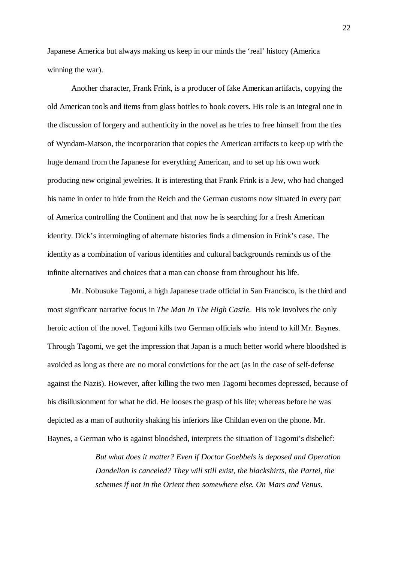Japanese America but always making us keep in our minds the 'real' history (America winning the war).

Another character, Frank Frink, is a producer of fake American artifacts, copying the old American tools and items from glass bottles to book covers. His role is an integral one in the discussion of forgery and authenticity in the novel as he tries to free himself from the ties of Wyndam-Matson, the incorporation that copies the American artifacts to keep up with the huge demand from the Japanese for everything American, and to set up his own work producing new original jewelries. It is interesting that Frank Frink is a Jew, who had changed his name in order to hide from the Reich and the German customs now situated in every part of America controlling the Continent and that now he is searching for a fresh American identity. Dick's intermingling of alternate histories finds a dimension in Frink's case. The identity as a combination of various identities and cultural backgrounds reminds us of the infinite alternatives and choices that a man can choose from throughout his life.

Mr. Nobusuke Tagomi, a high Japanese trade official in San Francisco, is the third and most significant narrative focus in *The Man In The High Castle.* His role involves the only heroic action of the novel. Tagomi kills two German officials who intend to kill Mr. Baynes. Through Tagomi, we get the impression that Japan is a much better world where bloodshed is avoided as long as there are no moral convictions for the act (as in the case of self-defense against the Nazis). However, after killing the two men Tagomi becomes depressed, because of his disillusionment for what he did. He looses the grasp of his life; whereas before he was depicted as a man of authority shaking his inferiors like Childan even on the phone. Mr. Baynes, a German who is against bloodshed, interprets the situation of Tagomi's disbelief:

> *But what does it matter? Even if Doctor Goebbels is deposed and Operation Dandelion is canceled? They will still exist, the blackshirts, the Partei, the schemes if not in the Orient then somewhere else. On Mars and Venus.*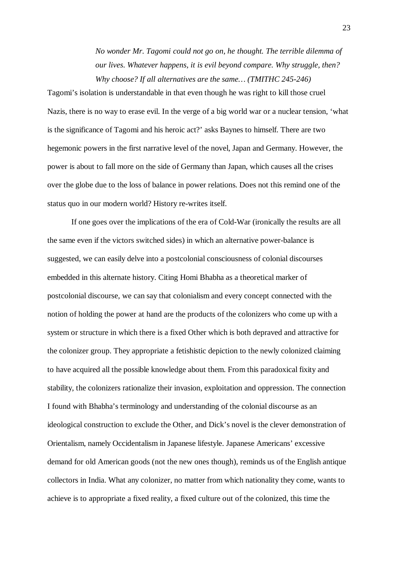*No wonder Mr. Tagomi could not go on, he thought. The terrible dilemma of our lives. Whatever happens, it is evil beyond compare. Why struggle, then? Why choose? If all alternatives are the same… (TMITHC 245-246)*

Tagomi's isolation is understandable in that even though he was right to kill those cruel Nazis, there is no way to erase evil. In the verge of a big world war or a nuclear tension, 'what is the significance of Tagomi and his heroic act?' asks Baynes to himself. There are two hegemonic powers in the first narrative level of the novel, Japan and Germany. However, the power is about to fall more on the side of Germany than Japan, which causes all the crises over the globe due to the loss of balance in power relations. Does not this remind one of the status quo in our modern world? History re-writes itself.

If one goes over the implications of the era of Cold-War (ironically the results are all the same even if the victors switched sides) in which an alternative power-balance is suggested, we can easily delve into a postcolonial consciousness of colonial discourses embedded in this alternate history. Citing Homi Bhabha as a theoretical marker of postcolonial discourse, we can say that colonialism and every concept connected with the notion of holding the power at hand are the products of the colonizers who come up with a system or structure in which there is a fixed Other which is both depraved and attractive for the colonizer group. They appropriate a fetishistic depiction to the newly colonized claiming to have acquired all the possible knowledge about them. From this paradoxical fixity and stability, the colonizers rationalize their invasion, exploitation and oppression. The connection I found with Bhabha's terminology and understanding of the colonial discourse as an ideological construction to exclude the Other, and Dick's novel is the clever demonstration of Orientalism, namely Occidentalism in Japanese lifestyle. Japanese Americans' excessive demand for old American goods (not the new ones though), reminds us of the English antique collectors in India. What any colonizer, no matter from which nationality they come, wants to achieve is to appropriate a fixed reality, a fixed culture out of the colonized, this time the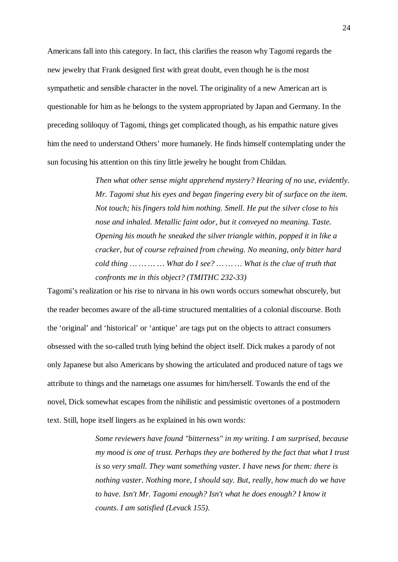Americans fall into this category. In fact, this clarifies the reason why Tagomi regards the new jewelry that Frank designed first with great doubt, even though he is the most sympathetic and sensible character in the novel. The originality of a new American art is questionable for him as he belongs to the system appropriated by Japan and Germany. In the preceding soliloquy of Tagomi, things get complicated though, as his empathic nature gives him the need to understand Others' more humanely. He finds himself contemplating under the sun focusing his attention on this tiny little jewelry he bought from Childan.

> *Then what other sense might apprehend mystery? Hearing of no use, evidently. Mr. Tagomi shut his eyes and began fingering every bit of surface on the item. Not touch; his fingers told him nothing. Smell. He put the silver close to his nose and inhaled. Metallic faint odor, but it conveyed no meaning. Taste. Opening his mouth he sneaked the silver triangle within, popped it in like a cracker, but of course refrained from chewing. No meaning, only bitter hard cold thing … … … … What do I see? … … … What is the clue of truth that confronts me in this object? (TMITHC 232-33)*

Tagomi's realization or his rise to nirvana in his own words occurs somewhat obscurely, but the reader becomes aware of the all-time structured mentalities of a colonial discourse. Both the 'original' and 'historical' or 'antique' are tags put on the objects to attract consumers obsessed with the so-called truth lying behind the object itself. Dick makes a parody of not only Japanese but also Americans by showing the articulated and produced nature of tags we attribute to things and the nametags one assumes for him/herself. Towards the end of the novel, Dick somewhat escapes from the nihilistic and pessimistic overtones of a postmodern text. Still, hope itself lingers as he explained in his own words:

> *Some reviewers have found "bitterness" in my writing. I am surprised, because my mood is one of trust. Perhaps they are bothered by the fact that what I trust is so very small. They want something vaster. I have news for them: there is nothing vaster. Nothing more, I should say. But, really, how much do we have to have. Isn't Mr. Tagomi enough? Isn't what he does enough? I know it counts. I am satisfied (Levack 155).*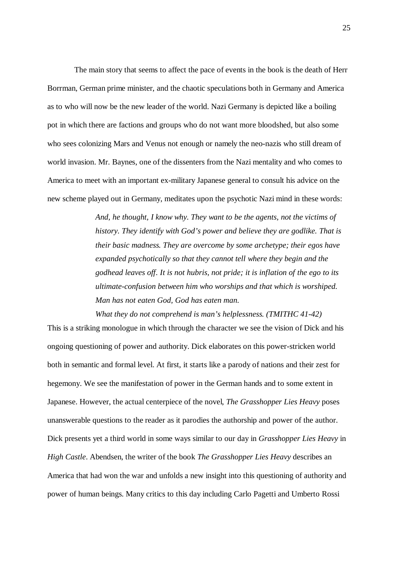The main story that seems to affect the pace of events in the book is the death of Herr Borrman, German prime minister, and the chaotic speculations both in Germany and America as to who will now be the new leader of the world. Nazi Germany is depicted like a boiling pot in which there are factions and groups who do not want more bloodshed, but also some who sees colonizing Mars and Venus not enough or namely the neo-nazis who still dream of world invasion. Mr. Baynes, one of the dissenters from the Nazi mentality and who comes to America to meet with an important ex-military Japanese general to consult his advice on the new scheme played out in Germany, meditates upon the psychotic Nazi mind in these words:

> *And, he thought, I know why. They want to be the agents, not the victims of history. They identify with God's power and believe they are godlike. That is their basic madness. They are overcome by some archetype; their egos have expanded psychotically so that they cannot tell where they begin and the godhead leaves off. It is not hubris, not pride; it is inflation of the ego to its ultimate-confusion between him who worships and that which is worshiped. Man has not eaten God, God has eaten man.*

*What they do not comprehend is man's helplessness. (TMITHC 41-42)* This is a striking monologue in which through the character we see the vision of Dick and his ongoing questioning of power and authority. Dick elaborates on this power-stricken world both in semantic and formal level. At first, it starts like a parody of nations and their zest for hegemony. We see the manifestation of power in the German hands and to some extent in Japanese. However, the actual centerpiece of the novel, *The Grasshopper Lies Heavy* poses unanswerable questions to the reader as it parodies the authorship and power of the author. Dick presents yet a third world in some ways similar to our day in *Grasshopper Lies Heavy* in *High Castle*. Abendsen, the writer of the book *The Grasshopper Lies Heavy* describes an America that had won the war and unfolds a new insight into this questioning of authority and power of human beings. Many critics to this day including Carlo Pagetti and Umberto Rossi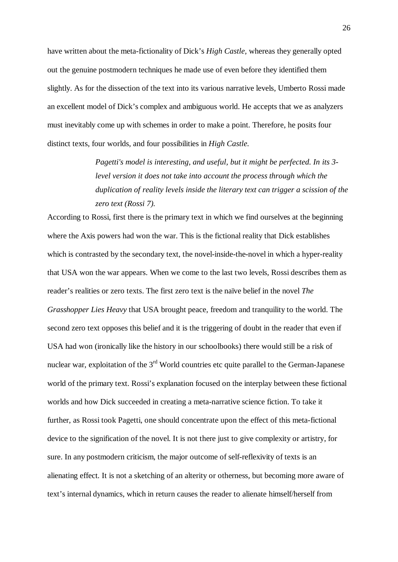have written about the meta-fictionality of Dick's *High Castle,* whereas they generally opted out the genuine postmodern techniques he made use of even before they identified them slightly. As for the dissection of the text into its various narrative levels, Umberto Rossi made an excellent model of Dick's complex and ambiguous world. He accepts that we as analyzers must inevitably come up with schemes in order to make a point. Therefore, he posits four distinct texts, four worlds, and four possibilities in *High Castle.*

> *Pagetti's model is interesting, and useful, but it might be perfected. In its 3 level version it does not take into account the process through which the duplication of reality levels inside the literary text can trigger a scission of the zero text (Rossi 7).*

According to Rossi, first there is the primary text in which we find ourselves at the beginning where the Axis powers had won the war. This is the fictional reality that Dick establishes which is contrasted by the secondary text, the novel-inside-the-novel in which a hyper-reality that USA won the war appears. When we come to the last two levels, Rossi describes them as reader's realities or zero texts. The first zero text is the naïve belief in the novel *The Grasshopper Lies Heavy* that USA brought peace, freedom and tranquility to the world. The second zero text opposes this belief and it is the triggering of doubt in the reader that even if USA had won (ironically like the history in our schoolbooks) there would still be a risk of nuclear war, exploitation of the 3<sup>rd</sup> World countries etc quite parallel to the German-Japanese world of the primary text. Rossi's explanation focused on the interplay between these fictional worlds and how Dick succeeded in creating a meta-narrative science fiction. To take it further, as Rossi took Pagetti, one should concentrate upon the effect of this meta-fictional device to the signification of the novel. It is not there just to give complexity or artistry, for sure. In any postmodern criticism, the major outcome of self-reflexivity of texts is an alienating effect. It is not a sketching of an alterity or otherness, but becoming more aware of text's internal dynamics, which in return causes the reader to alienate himself/herself from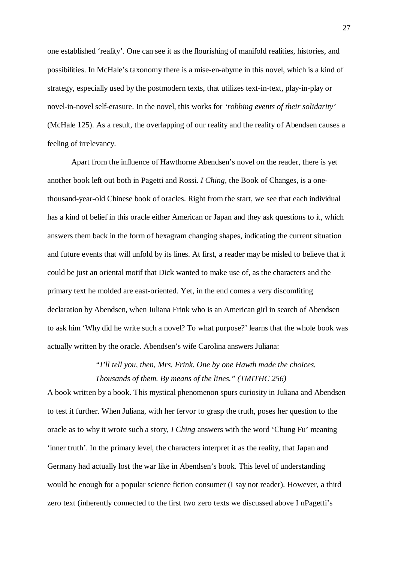one established 'reality'. One can see it as the flourishing of manifold realities, histories, and possibilities. In McHale's taxonomy there is a mise-en-abyme in this novel, which is a kind of strategy, especially used by the postmodern texts, that utilizes text-in-text, play-in-play or novel-in-novel self-erasure. In the novel, this works for *'robbing events of their solidarity'*  (McHale 125). As a result, the overlapping of our reality and the reality of Abendsen causes a feeling of irrelevancy.

Apart from the influence of Hawthorne Abendsen's novel on the reader, there is yet another book left out both in Pagetti and Rossi. *I Ching*, the Book of Changes, is a onethousand-year-old Chinese book of oracles. Right from the start, we see that each individual has a kind of belief in this oracle either American or Japan and they ask questions to it, which answers them back in the form of hexagram changing shapes, indicating the current situation and future events that will unfold by its lines. At first, a reader may be misled to believe that it could be just an oriental motif that Dick wanted to make use of, as the characters and the primary text he molded are east-oriented. Yet, in the end comes a very discomfiting declaration by Abendsen, when Juliana Frink who is an American girl in search of Abendsen to ask him 'Why did he write such a novel? To what purpose?' learns that the whole book was actually written by the oracle. Abendsen's wife Carolina answers Juliana:

> *"I'll tell you, then, Mrs. Frink. One by one Hawth made the choices. Thousands of them. By means of the lines." (TMITHC 256)*

A book written by a book. This mystical phenomenon spurs curiosity in Juliana and Abendsen to test it further. When Juliana, with her fervor to grasp the truth, poses her question to the oracle as to why it wrote such a story, *I Ching* answers with the word 'Chung Fu' meaning 'inner truth'. In the primary level, the characters interpret it as the reality, that Japan and Germany had actually lost the war like in Abendsen's book. This level of understanding would be enough for a popular science fiction consumer (I say not reader). However, a third zero text (inherently connected to the first two zero texts we discussed above I nPagetti's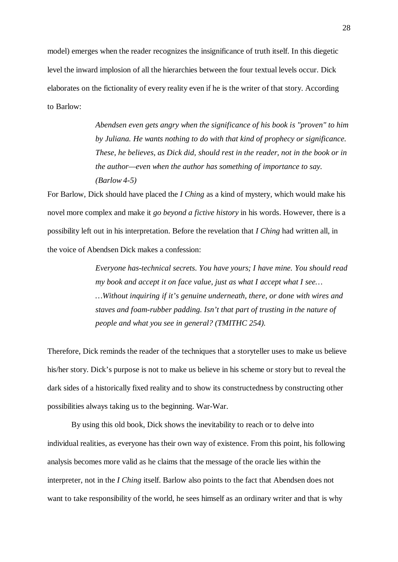model) emerges when the reader recognizes the insignificance of truth itself. In this diegetic level the inward implosion of all the hierarchies between the four textual levels occur. Dick elaborates on the fictionality of every reality even if he is the writer of that story. According to Barlow:

> *Abendsen even gets angry when the significance of his book is "proven" to him by Juliana. He wants nothing to do with that kind of prophecy or significance. These, he believes, as Dick did, should rest in the reader, not in the book or in the author—even when the author has something of importance to say. (Barlow 4-5)*

For Barlow, Dick should have placed the *I Ching* as a kind of mystery, which would make his novel more complex and make it *go beyond a fictive history* in his words. However, there is a possibility left out in his interpretation. Before the revelation that *I Ching* had written all*,* in the voice of Abendsen Dick makes a confession:

> *Everyone has-technical secrets. You have yours; I have mine. You should read my book and accept it on face value, just as what I accept what I see… …Without inquiring if it's genuine underneath, there, or done with wires and staves and foam-rubber padding. Isn't that part of trusting in the nature of people and what you see in general? (TMITHC 254).*

Therefore, Dick reminds the reader of the techniques that a storyteller uses to make us believe his/her story. Dick's purpose is not to make us believe in his scheme or story but to reveal the dark sides of a historically fixed reality and to show its constructedness by constructing other possibilities always taking us to the beginning. War-War.

By using this old book, Dick shows the inevitability to reach or to delve into individual realities, as everyone has their own way of existence. From this point, his following analysis becomes more valid as he claims that the message of the oracle lies within the interpreter, not in the *I Ching* itself. Barlow also points to the fact that Abendsen does not want to take responsibility of the world, he sees himself as an ordinary writer and that is why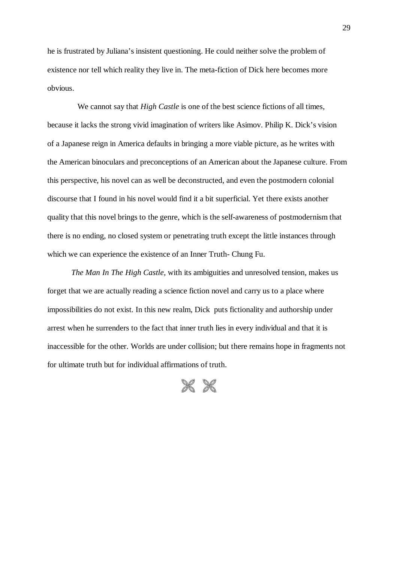he is frustrated by Juliana's insistent questioning. He could neither solve the problem of existence nor tell which reality they live in. The meta-fiction of Dick here becomes more obvious.

We cannot say that *High Castle* is one of the best science fictions of all times, because it lacks the strong vivid imagination of writers like Asimov. Philip K. Dick's vision of a Japanese reign in America defaults in bringing a more viable picture, as he writes with the American binoculars and preconceptions of an American about the Japanese culture. From this perspective, his novel can as well be deconstructed, and even the postmodern colonial discourse that I found in his novel would find it a bit superficial. Yet there exists another quality that this novel brings to the genre, which is the self-awareness of postmodernism that there is no ending, no closed system or penetrating truth except the little instances through which we can experience the existence of an Inner Truth- Chung Fu.

*The Man In The High Castle,* with its ambiguities and unresolved tension, makes us forget that we are actually reading a science fiction novel and carry us to a place where impossibilities do not exist. In this new realm, Dick puts fictionality and authorship under arrest when he surrenders to the fact that inner truth lies in every individual and that it is inaccessible for the other. Worlds are under collision; but there remains hope in fragments not for ultimate truth but for individual affirmations of truth.

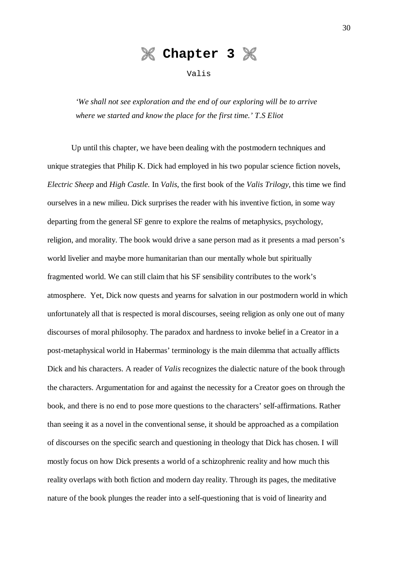

Valis

*'We shall not see exploration and the end of our exploring will be to arrive where we started and know the place for the first time.' T.S Eliot*

Up until this chapter, we have been dealing with the postmodern techniques and unique strategies that Philip K. Dick had employed in his two popular science fiction novels, *Electric Sheep* and *High Castle.* In *Valis*, the first book of the *Valis Trilogy,* this time we find ourselves in a new milieu. Dick surprises the reader with his inventive fiction, in some way departing from the general SF genre to explore the realms of metaphysics, psychology, religion, and morality. The book would drive a sane person mad as it presents a mad person's world livelier and maybe more humanitarian than our mentally whole but spiritually fragmented world. We can still claim that his SF sensibility contributes to the work's atmosphere. Yet, Dick now quests and yearns for salvation in our postmodern world in which unfortunately all that is respected is moral discourses, seeing religion as only one out of many discourses of moral philosophy. The paradox and hardness to invoke belief in a Creator in a post-metaphysical world in Habermas' terminology is the main dilemma that actually afflicts Dick and his characters. A reader of *Valis* recognizes the dialectic nature of the book through the characters. Argumentation for and against the necessity for a Creator goes on through the book, and there is no end to pose more questions to the characters' self-affirmations. Rather than seeing it as a novel in the conventional sense, it should be approached as a compilation of discourses on the specific search and questioning in theology that Dick has chosen. I will mostly focus on how Dick presents a world of a schizophrenic reality and how much this reality overlaps with both fiction and modern day reality. Through its pages, the meditative nature of the book plunges the reader into a self-questioning that is void of linearity and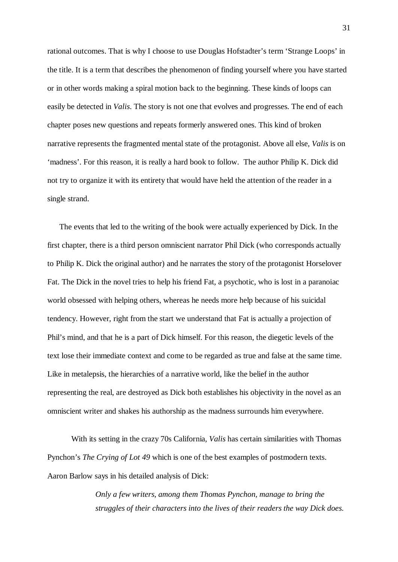rational outcomes. That is why I choose to use Douglas Hofstadter's term 'Strange Loops' in the title. It is a term that describes the phenomenon of finding yourself where you have started or in other words making a spiral motion back to the beginning. These kinds of loops can easily be detected in *Valis*. The story is not one that evolves and progresses. The end of each chapter poses new questions and repeats formerly answered ones. This kind of broken narrative represents the fragmented mental state of the protagonist. Above all else, *Valis* is on 'madness'. For this reason, it is really a hard book to follow. The author Philip K. Dick did not try to organize it with its entirety that would have held the attention of the reader in a single strand.

The events that led to the writing of the book were actually experienced by Dick. In the first chapter, there is a third person omniscient narrator Phil Dick (who corresponds actually to Philip K. Dick the original author) and he narrates the story of the protagonist Horselover Fat. The Dick in the novel tries to help his friend Fat, a psychotic, who is lost in a paranoiac world obsessed with helping others, whereas he needs more help because of his suicidal tendency. However, right from the start we understand that Fat is actually a projection of Phil's mind, and that he is a part of Dick himself. For this reason, the diegetic levels of the text lose their immediate context and come to be regarded as true and false at the same time. Like in metalepsis, the hierarchies of a narrative world, like the belief in the author representing the real, are destroyed as Dick both establishes his objectivity in the novel as an omniscient writer and shakes his authorship as the madness surrounds him everywhere.

With its setting in the crazy 70s California, *Valis* has certain similarities with Thomas Pynchon's *The Crying of Lot 49* which is one of the best examples of postmodern texts. Aaron Barlow says in his detailed analysis of Dick:

> *Only a few writers, among them Thomas Pynchon, manage to bring the struggles of their characters into the lives of their readers the way Dick does.*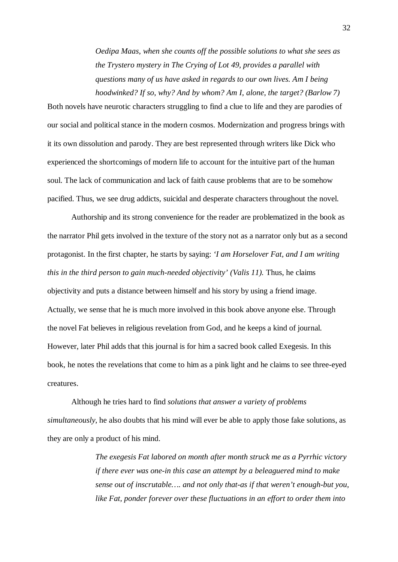*Oedipa Maas, when she counts off the possible solutions to what she sees as the Trystero mystery in The Crying of Lot 49, provides a parallel with questions many of us have asked in regards to our own lives. Am I being hoodwinked? If so, why? And by whom? Am I, alone, the target? (Barlow 7)*

Both novels have neurotic characters struggling to find a clue to life and they are parodies of our social and political stance in the modern cosmos. Modernization and progress brings with it its own dissolution and parody. They are best represented through writers like Dick who experienced the shortcomings of modern life to account for the intuitive part of the human soul. The lack of communication and lack of faith cause problems that are to be somehow pacified. Thus, we see drug addicts, suicidal and desperate characters throughout the novel.

Authorship and its strong convenience for the reader are problematized in the book as the narrator Phil gets involved in the texture of the story not as a narrator only but as a second protagonist. In the first chapter, he starts by saying: *'I am Horselover Fat, and I am writing this in the third person to gain much-needed objectivity' (Valis 11).* Thus, he claims objectivity and puts a distance between himself and his story by using a friend image. Actually, we sense that he is much more involved in this book above anyone else. Through the novel Fat believes in religious revelation from God, and he keeps a kind of journal. However, later Phil adds that this journal is for him a sacred book called Exegesis. In this book, he notes the revelations that come to him as a pink light and he claims to see three-eyed creatures.

Although he tries hard to find *solutions that answer a variety of problems simultaneously*, he also doubts that his mind will ever be able to apply those fake solutions, as they are only a product of his mind.

> *The exegesis Fat labored on month after month struck me as a Pyrrhic victory if there ever was one-in this case an attempt by a beleaguered mind to make sense out of inscrutable…. and not only that-as if that weren't enough-but you, like Fat, ponder forever over these fluctuations in an effort to order them into*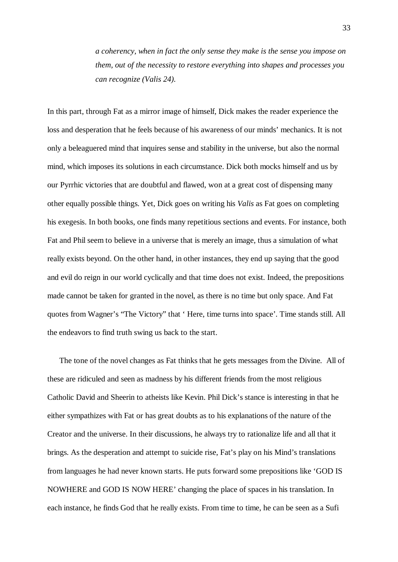*a coherency, when in fact the only sense they make is the sense you impose on them, out of the necessity to restore everything into shapes and processes you can recognize (Valis 24).*

In this part, through Fat as a mirror image of himself, Dick makes the reader experience the loss and desperation that he feels because of his awareness of our minds' mechanics. It is not only a beleaguered mind that inquires sense and stability in the universe, but also the normal mind, which imposes its solutions in each circumstance. Dick both mocks himself and us by our Pyrrhic victories that are doubtful and flawed, won at a great cost of dispensing many other equally possible things. Yet, Dick goes on writing his *Valis* as Fat goes on completing his exegesis. In both books, one finds many repetitious sections and events. For instance, both Fat and Phil seem to believe in a universe that is merely an image, thus a simulation of what really exists beyond. On the other hand, in other instances, they end up saying that the good and evil do reign in our world cyclically and that time does not exist. Indeed, the prepositions made cannot be taken for granted in the novel, as there is no time but only space. And Fat quotes from Wagner's "The Victory" that ' Here, time turns into space'. Time stands still. All the endeavors to find truth swing us back to the start.

The tone of the novel changes as Fat thinks that he gets messages from the Divine. All of these are ridiculed and seen as madness by his different friends from the most religious Catholic David and Sheerin to atheists like Kevin. Phil Dick's stance is interesting in that he either sympathizes with Fat or has great doubts as to his explanations of the nature of the Creator and the universe. In their discussions, he always try to rationalize life and all that it brings. As the desperation and attempt to suicide rise, Fat's play on his Mind's translations from languages he had never known starts. He puts forward some prepositions like 'GOD IS NOWHERE and GOD IS NOW HERE' changing the place of spaces in his translation. In each instance, he finds God that he really exists. From time to time, he can be seen as a Sufi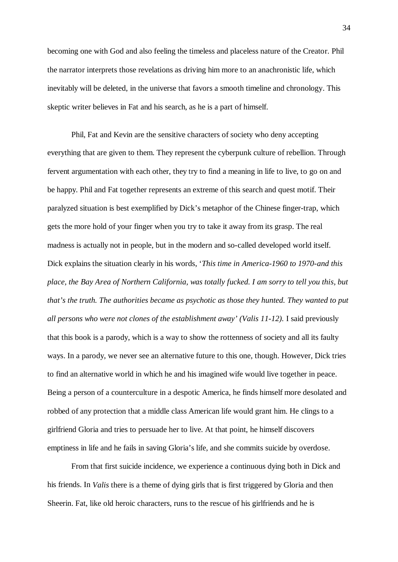becoming one with God and also feeling the timeless and placeless nature of the Creator. Phil the narrator interprets those revelations as driving him more to an anachronistic life, which inevitably will be deleted, in the universe that favors a smooth timeline and chronology. This skeptic writer believes in Fat and his search, as he is a part of himself.

Phil, Fat and Kevin are the sensitive characters of society who deny accepting everything that are given to them. They represent the cyberpunk culture of rebellion. Through fervent argumentation with each other, they try to find a meaning in life to live, to go on and be happy. Phil and Fat together represents an extreme of this search and quest motif. Their paralyzed situation is best exemplified by Dick's metaphor of the Chinese finger-trap, which gets the more hold of your finger when you try to take it away from its grasp. The real madness is actually not in people, but in the modern and so-called developed world itself. Dick explains the situation clearly in his words, '*This time in America-1960 to 1970-and this place, the Bay Area of Northern California, was totally fucked. I am sorry to tell you this, but that's the truth. The authorities became as psychotic as those they hunted. They wanted to put all persons who were not clones of the establishment away' (Valis 11-12).* I said previously that this book is a parody, which is a way to show the rottenness of society and all its faulty ways. In a parody, we never see an alternative future to this one, though. However, Dick tries to find an alternative world in which he and his imagined wife would live together in peace. Being a person of a counterculture in a despotic America, he finds himself more desolated and robbed of any protection that a middle class American life would grant him. He clings to a girlfriend Gloria and tries to persuade her to live. At that point, he himself discovers emptiness in life and he fails in saving Gloria's life, and she commits suicide by overdose.

From that first suicide incidence, we experience a continuous dying both in Dick and his friends. In *Valis* there is a theme of dying girls that is first triggered by Gloria and then Sheerin. Fat, like old heroic characters, runs to the rescue of his girlfriends and he is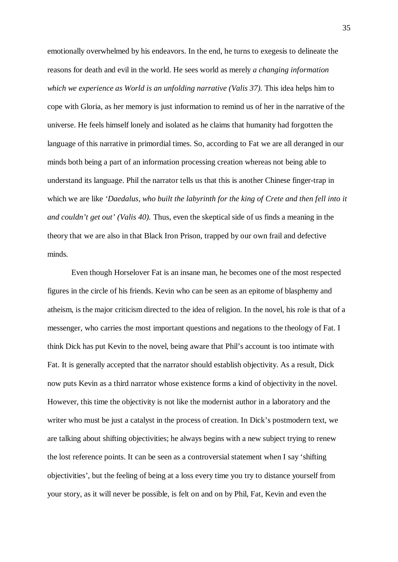emotionally overwhelmed by his endeavors. In the end, he turns to exegesis to delineate the reasons for death and evil in the world. He sees world as merely *a changing information which we experience as World is an unfolding narrative (Valis 37).* This idea helps him to cope with Gloria, as her memory is just information to remind us of her in the narrative of the universe. He feels himself lonely and isolated as he claims that humanity had forgotten the language of this narrative in primordial times. So, according to Fat we are all deranged in our minds both being a part of an information processing creation whereas not being able to understand its language. Phil the narrator tells us that this is another Chinese finger-trap in which we are like *'Daedalus, who built the labyrinth for the king of Crete and then fell into it and couldn't get out' (Valis 40).* Thus, even the skeptical side of us finds a meaning in the theory that we are also in that Black Iron Prison, trapped by our own frail and defective minds.

Even though Horselover Fat is an insane man, he becomes one of the most respected figures in the circle of his friends. Kevin who can be seen as an epitome of blasphemy and atheism, is the major criticism directed to the idea of religion. In the novel, his role is that of a messenger, who carries the most important questions and negations to the theology of Fat. I think Dick has put Kevin to the novel, being aware that Phil's account is too intimate with Fat. It is generally accepted that the narrator should establish objectivity. As a result, Dick now puts Kevin as a third narrator whose existence forms a kind of objectivity in the novel. However, this time the objectivity is not like the modernist author in a laboratory and the writer who must be just a catalyst in the process of creation. In Dick's postmodern text, we are talking about shifting objectivities; he always begins with a new subject trying to renew the lost reference points. It can be seen as a controversial statement when I say 'shifting objectivities', but the feeling of being at a loss every time you try to distance yourself from your story, as it will never be possible, is felt on and on by Phil, Fat, Kevin and even the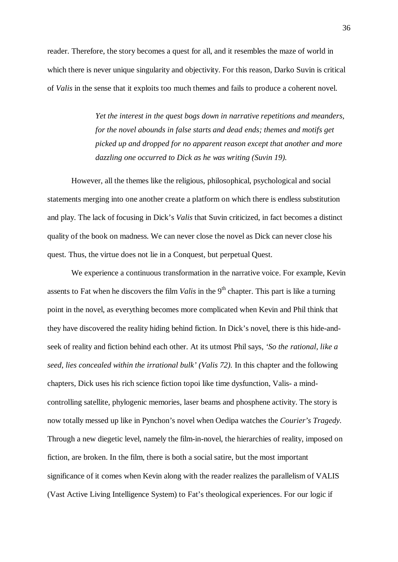reader. Therefore, the story becomes a quest for all, and it resembles the maze of world in which there is never unique singularity and objectivity. For this reason, Darko Suvin is critical of *Valis* in the sense that it exploits too much themes and fails to produce a coherent novel.

> *Yet the interest in the quest bogs down in narrative repetitions and meanders, for the novel abounds in false starts and dead ends; themes and motifs get picked up and dropped for no apparent reason except that another and more dazzling one occurred to Dick as he was writing (Suvin 19).*

However, all the themes like the religious, philosophical, psychological and social statements merging into one another create a platform on which there is endless substitution and play. The lack of focusing in Dick's *Valis* that Suvin criticized, in fact becomes a distinct quality of the book on madness. We can never close the novel as Dick can never close his quest. Thus, the virtue does not lie in a Conquest, but perpetual Quest.

We experience a continuous transformation in the narrative voice. For example, Kevin assents to Fat when he discovers the film *Valis* in the 9<sup>th</sup> chapter. This part is like a turning point in the novel, as everything becomes more complicated when Kevin and Phil think that they have discovered the reality hiding behind fiction. In Dick's novel, there is this hide-andseek of reality and fiction behind each other. At its utmost Phil says, *'So the rational, like a seed, lies concealed within the irrational bulk' (Valis 72).* In this chapter and the following chapters, Dick uses his rich science fiction topoi like time dysfunction, Valis- a mindcontrolling satellite, phylogenic memories, laser beams and phosphene activity. The story is now totally messed up like in Pynchon's novel when Oedipa watches the *Courier's Tragedy.* Through a new diegetic level, namely the film-in-novel, the hierarchies of reality, imposed on fiction, are broken. In the film, there is both a social satire, but the most important significance of it comes when Kevin along with the reader realizes the parallelism of VALIS (Vast Active Living Intelligence System) to Fat's theological experiences. For our logic if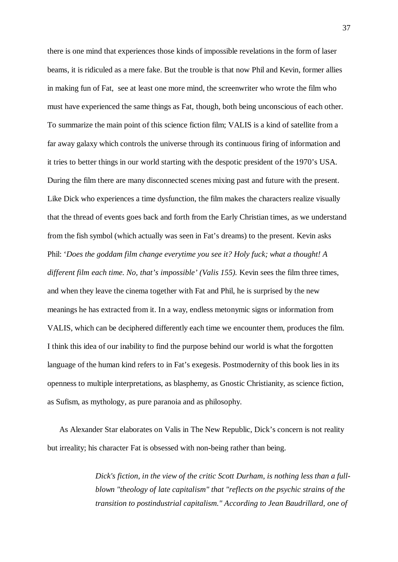there is one mind that experiences those kinds of impossible revelations in the form of laser beams, it is ridiculed as a mere fake. But the trouble is that now Phil and Kevin, former allies in making fun of Fat, see at least one more mind, the screenwriter who wrote the film who must have experienced the same things as Fat, though, both being unconscious of each other. To summarize the main point of this science fiction film; VALIS is a kind of satellite from a far away galaxy which controls the universe through its continuous firing of information and it tries to better things in our world starting with the despotic president of the 1970's USA. During the film there are many disconnected scenes mixing past and future with the present. Like Dick who experiences a time dysfunction, the film makes the characters realize visually that the thread of events goes back and forth from the Early Christian times, as we understand from the fish symbol (which actually was seen in Fat's dreams) to the present. Kevin asks Phil: '*Does the goddam film change everytime you see it? Holy fuck; what a thought! A different film each time. No, that's impossible' (Valis 155).* Kevin sees the film three times, and when they leave the cinema together with Fat and Phil, he is surprised by the new meanings he has extracted from it. In a way, endless metonymic signs or information from VALIS, which can be deciphered differently each time we encounter them, produces the film. I think this idea of our inability to find the purpose behind our world is what the forgotten language of the human kind refers to in Fat's exegesis. Postmodernity of this book lies in its openness to multiple interpretations, as blasphemy, as Gnostic Christianity, as science fiction, as Sufism, as mythology, as pure paranoia and as philosophy.

As Alexander Star elaborates on Valis in The New Republic, Dick's concern is not reality but irreality; his character Fat is obsessed with non-being rather than being.

> *Dick's fiction, in the view of the critic Scott Durham, is nothing less than a fullblown "theology of late capitalism" that "reflects on the psychic strains of the transition to postindustrial capitalism." According to Jean Baudrillard, one of*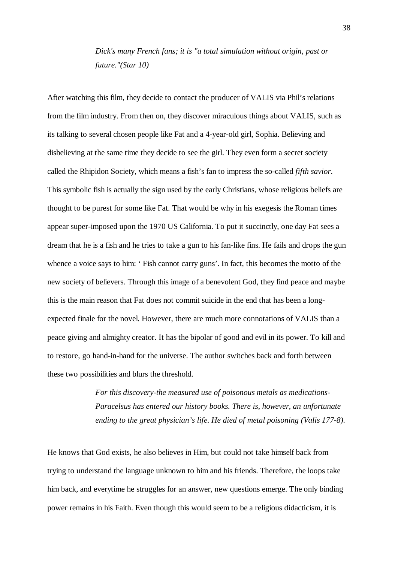*Dick's many French fans; it is "a total simulation without origin, past or future."(Star 10)*

After watching this film, they decide to contact the producer of VALIS via Phil's relations from the film industry. From then on, they discover miraculous things about VALIS, such as its talking to several chosen people like Fat and a 4-year-old girl, Sophia. Believing and disbelieving at the same time they decide to see the girl. They even form a secret society called the Rhipidon Society, which means a fish's fan to impress the so-called *fifth savior*. This symbolic fish is actually the sign used by the early Christians, whose religious beliefs are thought to be purest for some like Fat. That would be why in his exegesis the Roman times appear super-imposed upon the 1970 US California. To put it succinctly, one day Fat sees a dream that he is a fish and he tries to take a gun to his fan-like fins. He fails and drops the gun whence a voice says to him: 'Fish cannot carry guns'. In fact, this becomes the motto of the new society of believers. Through this image of a benevolent God, they find peace and maybe this is the main reason that Fat does not commit suicide in the end that has been a longexpected finale for the novel. However, there are much more connotations of VALIS than a peace giving and almighty creator. It has the bipolar of good and evil in its power. To kill and to restore, go hand-in-hand for the universe. The author switches back and forth between these two possibilities and blurs the threshold.

> *For this discovery-the measured use of poisonous metals as medications-Paracelsus has entered our history books. There is, however, an unfortunate ending to the great physician's life. He died of metal poisoning (Valis 177-8).*

He knows that God exists, he also believes in Him, but could not take himself back from trying to understand the language unknown to him and his friends. Therefore, the loops take him back, and everytime he struggles for an answer, new questions emerge. The only binding power remains in his Faith. Even though this would seem to be a religious didacticism, it is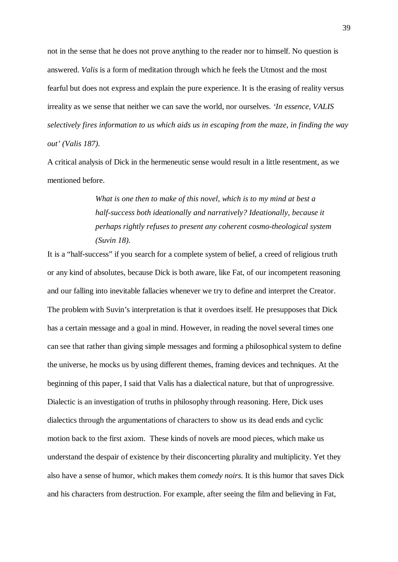not in the sense that he does not prove anything to the reader nor to himself. No question is answered. *Valis* is a form of meditation through which he feels the Utmost and the most fearful but does not express and explain the pure experience. It is the erasing of reality versus irreality as we sense that neither we can save the world, nor ourselves. *'In essence, VALIS selectively fires information to us which aids us in escaping from the maze, in finding the way out' (Valis 187).*

A critical analysis of Dick in the hermeneutic sense would result in a little resentment, as we mentioned before.

> *What is one then to make of this novel, which is to my mind at best a half-success both ideationally and narratively? Ideationally, because it perhaps rightly refuses to present any coherent cosmo-theological system (Suvin 18).*

It is a "half-success" if you search for a complete system of belief, a creed of religious truth or any kind of absolutes, because Dick is both aware, like Fat, of our incompetent reasoning and our falling into inevitable fallacies whenever we try to define and interpret the Creator. The problem with Suvin's interpretation is that it overdoes itself. He presupposes that Dick has a certain message and a goal in mind. However, in reading the novel several times one can see that rather than giving simple messages and forming a philosophical system to define the universe, he mocks us by using different themes, framing devices and techniques. At the beginning of this paper, I said that Valis has a dialectical nature, but that of unprogressive. Dialectic is an investigation of truths in philosophy through reasoning. Here, Dick uses dialectics through the argumentations of characters to show us its dead ends and cyclic motion back to the first axiom. These kinds of novels are mood pieces, which make us understand the despair of existence by their disconcerting plurality and multiplicity. Yet they also have a sense of humor, which makes them *comedy noirs.* It is this humor that saves Dick and his characters from destruction. For example, after seeing the film and believing in Fat,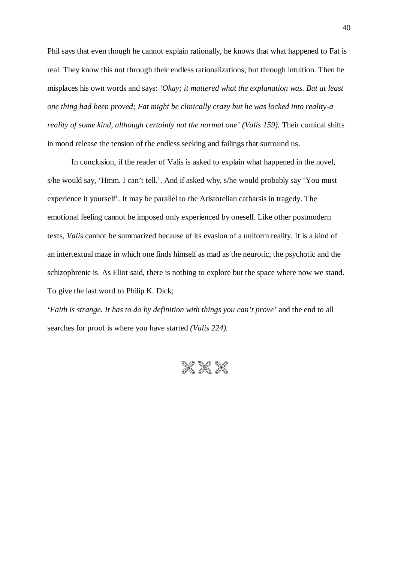Phil says that even though he cannot explain rationally, he knows that what happened to Fat is real. They know this not through their endless rationalizations, but through intuition. Then he misplaces his own words and says: *'Okay; it mattered what the explanation was. But at least one thing had been proved; Fat might be clinically crazy but he was locked into reality-a reality of some kind, although certainly not the normal one' (Valis 159). Their comical shifts* in mood release the tension of the endless seeking and failings that surround us.

In conclusion, if the reader of Valis is asked to explain what happened in the novel, s/he would say, 'Hmm. I can't tell.'. And if asked why, s/he would probably say 'You must experience it yourself'. It may be parallel to the Aristotelian catharsis in tragedy. The emotional feeling cannot be imposed only experienced by oneself. Like other postmodern texts, *Valis* cannot be summarized because of its evasion of a uniform reality. It is a kind of an intertextual maze in which one finds himself as mad as the neurotic, the psychotic and the schizophrenic is. As Eliot said, there is nothing to explore but the space where now we stand. To give the last word to Philip K. Dick;

*'Faith is strange. It has to do by definition with things you can't prove'* and the end to all searches for proof is where you have started *(Valis 224).*

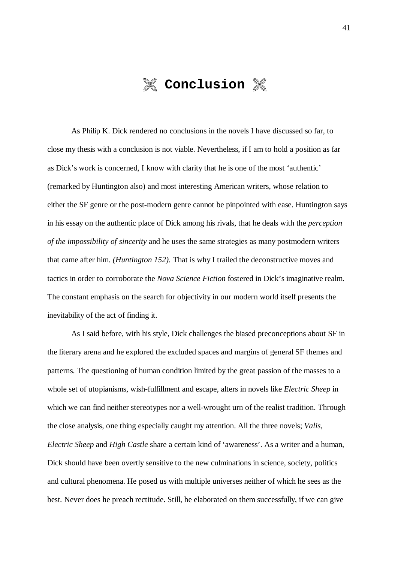

As Philip K. Dick rendered no conclusions in the novels I have discussed so far, to close my thesis with a conclusion is not viable. Nevertheless, if I am to hold a position as far as Dick's work is concerned, I know with clarity that he is one of the most 'authentic' (remarked by Huntington also) and most interesting American writers, whose relation to either the SF genre or the post-modern genre cannot be pinpointed with ease. Huntington says in his essay on the authentic place of Dick among his rivals, that he deals with the *perception of the impossibility of sincerity* and he uses the same strategies as many postmodern writers that came after him. *(Huntington 152).* That is why I trailed the deconstructive moves and tactics in order to corroborate the *Nova Science Fiction* fostered in Dick's imaginative realm. The constant emphasis on the search for objectivity in our modern world itself presents the inevitability of the act of finding it.

As I said before, with his style, Dick challenges the biased preconceptions about SF in the literary arena and he explored the excluded spaces and margins of general SF themes and patterns. The questioning of human condition limited by the great passion of the masses to a whole set of utopianisms, wish-fulfillment and escape, alters in novels like *Electric Sheep* in which we can find neither stereotypes nor a well-wrought urn of the realist tradition. Through the close analysis, one thing especially caught my attention. All the three novels; *Valis, Electric Sheep* and *High Castle* share a certain kind of 'awareness'. As a writer and a human, Dick should have been overtly sensitive to the new culminations in science, society, politics and cultural phenomena. He posed us with multiple universes neither of which he sees as the best. Never does he preach rectitude. Still, he elaborated on them successfully, if we can give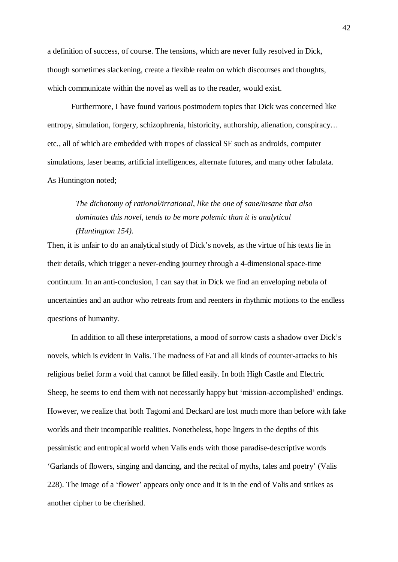a definition of success, of course. The tensions, which are never fully resolved in Dick, though sometimes slackening, create a flexible realm on which discourses and thoughts, which communicate within the novel as well as to the reader, would exist.

Furthermore, I have found various postmodern topics that Dick was concerned like entropy, simulation, forgery, schizophrenia, historicity, authorship, alienation, conspiracy… etc., all of which are embedded with tropes of classical SF such as androids, computer simulations, laser beams, artificial intelligences, alternate futures, and many other fabulata. As Huntington noted;

*The dichotomy of rational/irrational, like the one of sane/insane that also dominates this novel, tends to be more polemic than it is analytical (Huntington 154).*

Then, it is unfair to do an analytical study of Dick's novels, as the virtue of his texts lie in their details, which trigger a never-ending journey through a 4-dimensional space-time continuum. In an anti-conclusion, I can say that in Dick we find an enveloping nebula of uncertainties and an author who retreats from and reenters in rhythmic motions to the endless questions of humanity.

In addition to all these interpretations, a mood of sorrow casts a shadow over Dick's novels, which is evident in Valis. The madness of Fat and all kinds of counter-attacks to his religious belief form a void that cannot be filled easily. In both High Castle and Electric Sheep, he seems to end them with not necessarily happy but 'mission-accomplished' endings. However, we realize that both Tagomi and Deckard are lost much more than before with fake worlds and their incompatible realities. Nonetheless, hope lingers in the depths of this pessimistic and entropical world when Valis ends with those paradise-descriptive words 'Garlands of flowers, singing and dancing, and the recital of myths, tales and poetry' (Valis 228). The image of a 'flower' appears only once and it is in the end of Valis and strikes as another cipher to be cherished.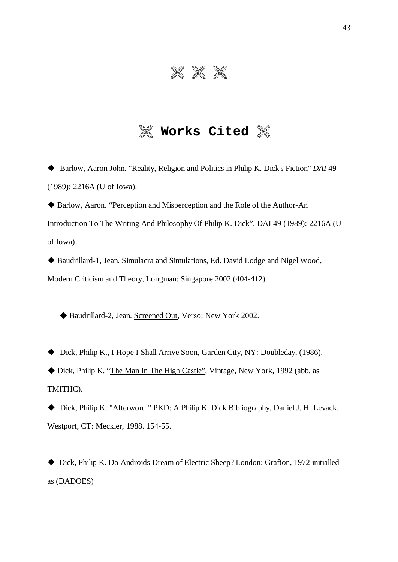## $8888$

#### **Works Cited**

 Barlow, Aaron John. "Reality, Religion and Politics in Philip K. Dick's Fiction" *DAI* 49 (1989): 2216A (U of Iowa).

◆ Barlow, Aaron. "Perception and Misperception and the Role of the Author-An Introduction To The Writing And Philosophy Of Philip K. Dick", DAI 49 (1989): 2216A (U of Iowa).

 Baudrillard-1, Jean. Simulacra and Simulations, Ed. David Lodge and Nigel Wood, Modern Criticism and Theory, Longman: Singapore 2002 (404-412).

◆ Baudrillard-2, Jean. Screened Out, Verso: New York 2002.

◆ Dick, Philip K., I Hope I Shall Arrive Soon, Garden City, NY: Doubleday, (1986).

 Dick, Philip K. "The Man In The High Castle", Vintage, New York, 1992 (abb. as TMITHC).

 Dick, Philip K. "Afterword." PKD: A Philip K. Dick Bibliography. Daniel J. H. Levack. Westport, CT: Meckler, 1988. 154-55.

 Dick, Philip K. Do Androids Dream of Electric Sheep? London: Grafton, 1972 initialled as (DADOES)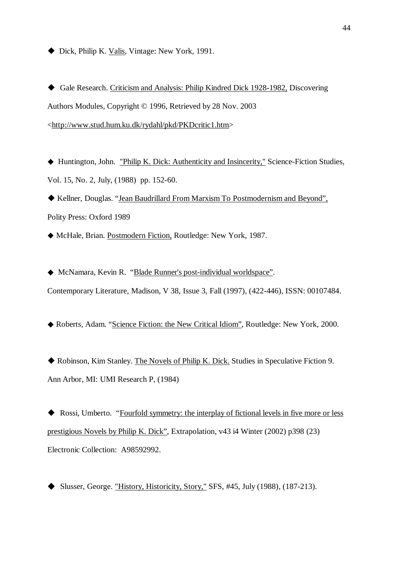◆ Dick, Philip K. Valis, Vintage: New York, 1991.

 Gale Research. Criticism and Analysis: Philip Kindred Dick 1928-1982, Discovering Authors Modules, Copyright © 1996, Retrieved by 28 Nov. 2003 [<http://www.stud.hum.ku.dk/rydahl/pkd/PKDcritic1.htm](http://www.stud.hum.ku.dk/rydahl/pkd/PKDcritic1.htm)>

 Huntington, John. "Philip K. Dick: Authenticity and Insincerity," Science-Fiction Studies, Vol. 15, No. 2, July, (1988) pp. 152-60.

 Kellner, Douglas. "Jean Baudrillard From Marxism To Postmodernism and Beyond", Polity Press: Oxford 1989

McHale, Brian. Postmodern Fiction, Routledge: New York, 1987.

 McNamara, Kevin R. "Blade Runner's post-individual worldspace". Contemporary Literature, Madison, V 38, Issue 3, Fall (1997), (422-446), ISSN: 00107484.

Roberts, Adam. "Science Fiction: the New Critical Idiom", Routledge: New York, 2000.

 Robinson, Kim Stanley. The Novels of Philip K. Dick. Studies in Speculative Fiction 9. Ann Arbor, MI: UMI Research P, (1984)

◆ Rossi, Umberto. "Fourfold symmetry: the interplay of fictional levels in five more or less prestigious Novels by Philip K. Dick", Extrapolation, v43 i4 Winter (2002) p398 (23) Electronic Collection: A98592992.

Slusser, George. "History, Historicity, Story," SFS, #45, July (1988), (187-213).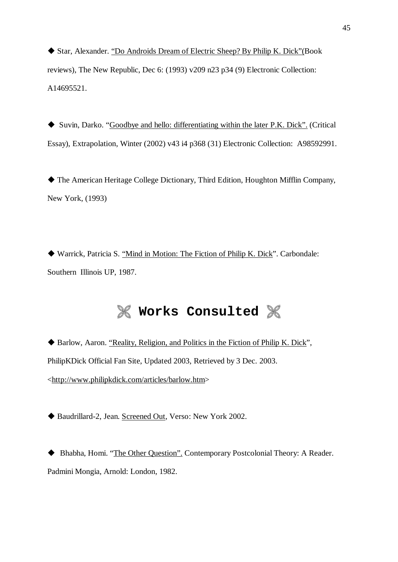Star, Alexander. "Do Androids Dream of Electric Sheep? By Philip K. Dick"(Book reviews), The New Republic, Dec 6: (1993) v209 n23 p34 (9) Electronic Collection: A14695521.

 Suvin, Darko. "Goodbye and hello: differentiating within the later P.K. Dick". (Critical Essay), Extrapolation, Winter (2002) v43 i4 p368 (31) Electronic Collection: A98592991.

 The American Heritage College Dictionary, Third Edition, Houghton Mifflin Company, New York, (1993)

 Warrick, Patricia S. "Mind in Motion: The Fiction of Philip K. Dick". Carbondale: Southern Illinois UP, 1987.

### **M** Works Consulted  $\%$

◆ Barlow, Aaron. "Reality, Religion, and Politics in the Fiction of Philip K. Dick", PhilipKDick Official Fan Site, Updated 2003, Retrieved by 3 Dec. 2003. [<http://www.philipkdick.com/articles/barlow.htm](http://www.philipkdick.com/articles/barlow.htm)>

◆ Baudrillard-2, Jean. Screened Out, Verso: New York 2002.

 Bhabha, Homi. "The Other Question". Contemporary Postcolonial Theory: A Reader. Padmini Mongia, Arnold: London, 1982.